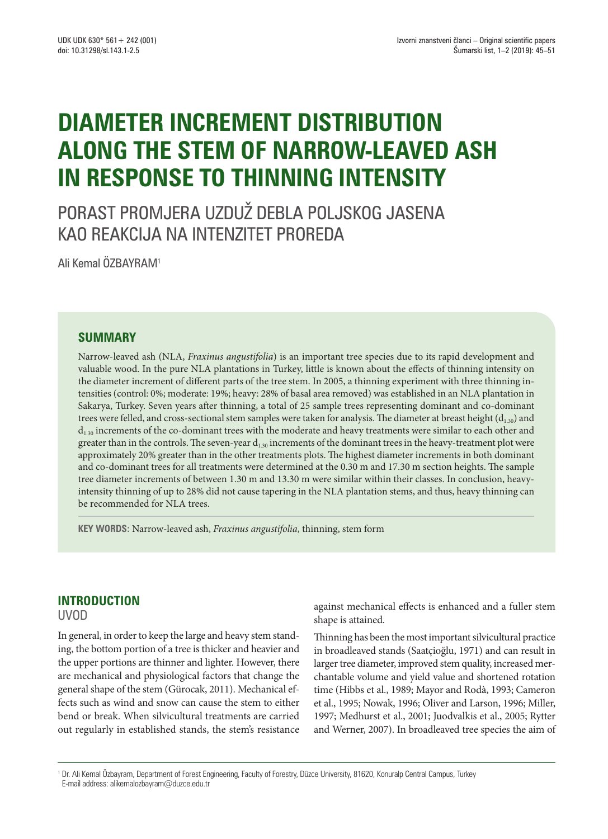# **DIAMETER INCREMENT DISTRIBUTION ALONG THE STEM OF NARROW-LEAVED ASH IN RESPONSE TO THINNING INTENSITY**

PORAST PROMJERA UZDUŽ DEBLA POLJSKOG JASENA KAO REAKCIJA NA INTENZITET PROREDA

Ali Kemal ÖZBAYRAM1

## **SUMMARY**

Narrow-leaved ash (NLA, *Fraxinus angustifolia*) is an important tree species due to its rapid development and valuable wood. In the pure NLA plantations in Turkey, little is known about the effects of thinning intensity on the diameter increment of different parts of the tree stem. In 2005, a thinning experiment with three thinning intensities (control: 0%; moderate: 19%; heavy: 28% of basal area removed) was established in an NLA plantation in Sakarya, Turkey. Seven years after thinning, a total of 25 sample trees representing dominant and co-dominant trees were felled, and cross-sectional stem samples were taken for analysis. The diameter at breast height  $(d_{1.30})$  and  $d_{1,30}$  increments of the co-dominant trees with the moderate and heavy treatments were similar to each other and greater than in the controls. The seven-year  $d_{1.30}$  increments of the dominant trees in the heavy-treatment plot were approximately 20% greater than in the other treatments plots. The highest diameter increments in both dominant and co-dominant trees for all treatments were determined at the 0.30 m and 17.30 m section heights. The sample tree diameter increments of between 1.30 m and 13.30 m were similar within their classes. In conclusion, heavyintensity thinning of up to 28% did not cause tapering in the NLA plantation stems, and thus, heavy thinning can be recommended for NLA trees.

**KEY WORDS:** Narrow-leaved ash, *Fraxinus angustifolia*, thinning, stem form

## **INTRODUCTION**

UVOD

In general, in order to keep the large and heavy stem standing, the bottom portion of a tree is thicker and heavier and the upper portions are thinner and lighter. However, there are mechanical and physiological factors that change the general shape of the stem (Gürocak, 2011). Mechanical effects such as wind and snow can cause the stem to either bend or break. When silvicultural treatments are carried out regularly in established stands, the stem's resistance against mechanical effects is enhanced and a fuller stem shape is attained.

Thinning has been the most important silvicultural practice in broadleaved stands (Saatçioğlu, 1971) and can result in larger tree diameter, improved stem quality, increased merchantable volume and yield value and shortened rotation time (Hibbs et al., 1989; Mayor and Rodà, 1993; Cameron et al., 1995; Nowak, 1996; Oliver and Larson, 1996; Miller, 1997; Medhurst et al., 2001; Juodvalkis et al., 2005; Rytter and Werner, 2007). In broadleaved tree species the aim of

<sup>1</sup> Dr. Ali Kemal Özbayram, Department of Forest Engineering, Faculty of Forestry, Düzce University, 81620, Konuralp Central Campus, Turkey E-mail address: alikemalozbayram@duzce.edu.tr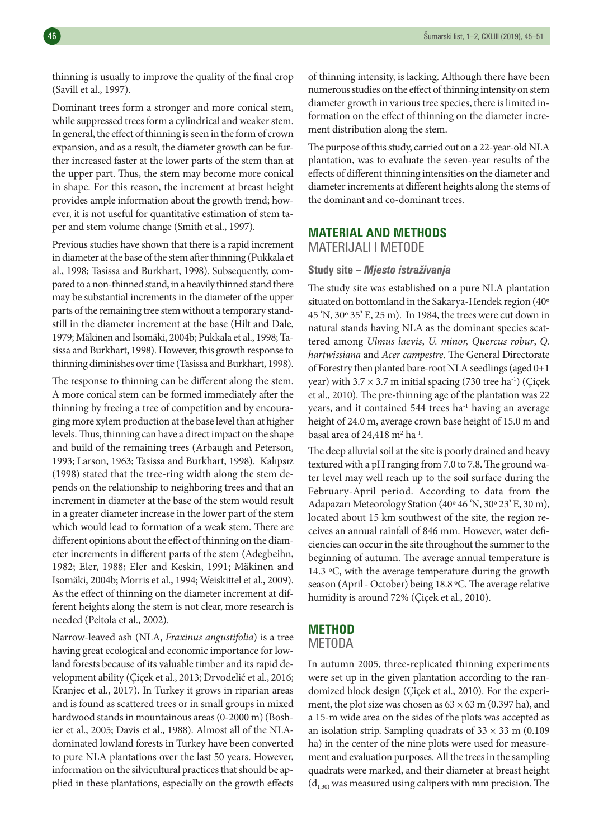thinning is usually to improve the quality of the final crop (Savill et al., 1997).

Dominant trees form a stronger and more conical stem, while suppressed trees form a cylindrical and weaker stem. In general, the effect of thinning is seen in the form of crown expansion, and as a result, the diameter growth can be further increased faster at the lower parts of the stem than at the upper part. Thus, the stem may become more conical in shape. For this reason, the increment at breast height provides ample information about the growth trend; however, it is not useful for quantitative estimation of stem taper and stem volume change (Smith et al., 1997).

Previous studies have shown that there is a rapid increment in diameter at the base of the stem after thinning (Pukkala et al., 1998; Tasissa and Burkhart, 1998). Subsequently, compared to a non-thinned stand, in a heavily thinned stand there may be substantial increments in the diameter of the upper parts of the remaining tree stem without a temporary standstill in the diameter increment at the base (Hilt and Dale, 1979; Mäkinen and Isomäki, 2004b; Pukkala et al., 1998; Tasissa and Burkhart, 1998). However, this growth response to thinning diminishes over time (Tasissa and Burkhart, 1998).

The response to thinning can be different along the stem. A more conical stem can be formed immediately after the thinning by freeing a tree of competition and by encouraging more xylem production at the base level than at higher levels. Thus, thinning can have a direct impact on the shape and build of the remaining trees (Arbaugh and Peterson, 1993; Larson, 1963; Tasissa and Burkhart, 1998). Kalıpsız (1998) stated that the tree-ring width along the stem depends on the relationship to neighboring trees and that an increment in diameter at the base of the stem would result in a greater diameter increase in the lower part of the stem which would lead to formation of a weak stem. There are different opinions about the effect of thinning on the diameter increments in different parts of the stem (Adegbeihn, 1982; Eler, 1988; Eler and Keskin, 1991; Mäkinen and Isomäki, 2004b; Morris et al., 1994; Weiskittel et al., 2009). As the effect of thinning on the diameter increment at different heights along the stem is not clear, more research is needed (Peltola et al., 2002).

Narrow-leaved ash (NLA, *Fraxinus angustifolia*) is a tree having great ecological and economic importance for lowland forests because of its valuable timber and its rapid development ability (Çiçek et al., 2013; Drvodelić et al., 2016; Kranjec et al., 2017). In Turkey it grows in riparian areas and is found as scattered trees or in small groups in mixed hardwood stands in mountainous areas (0-2000 m) (Boshier et al., 2005; Davis et al., 1988). Almost all of the NLAdominated lowland forests in Turkey have been converted to pure NLA plantations over the last 50 years. However, information on the silvicultural practices that should be applied in these plantations, especially on the growth effects

of thinning intensity, is lacking. Although there have been numerous studies on the effect of thinning intensity on stem diameter growth in various tree species, there is limited information on the effect of thinning on the diameter increment distribution along the stem.

The purpose of this study, carried out on a 22-year-old NLA plantation, was to evaluate the seven-year results of the effects of different thinning intensities on the diameter and diameter increments at different heights along the stems of the dominant and co-dominant trees.

### **MATERIAL AND METHODS** MATERIJALI I METODE

#### **Study site –** *Mjesto istraživanja*

The study site was established on a pure NLA plantation situated on bottomland in the Sakarya-Hendek region (40º 45 'N, 30º 35' E, 25 m). In 1984, the trees were cut down in natural stands having NLA as the dominant species scattered among *Ulmus laevis*, *U. minor, Quercus robur*, *Q. hartwissiana* and *Acer campestre*. The General Directorate of Forestry then planted bare-root NLA seedlings (aged 0+1 year) with  $3.7 \times 3.7$  m initial spacing (730 tree ha<sup>-1</sup>) (Çiçek et al., 2010). The pre-thinning age of the plantation was 22 years, and it contained 544 trees ha<sup>-1</sup> having an average height of 24.0 m, average crown base height of 15.0 m and basal area of 24,418  $\mathrm{m}^2 \mathrm{ha}^{-1}$ .

The deep alluvial soil at the site is poorly drained and heavy textured with a pH ranging from 7.0 to 7.8. The ground water level may well reach up to the soil surface during the February-April period. According to data from the Adapazarı Meteorology Station (40º 46 'N, 30º 23' E, 30 m), located about 15 km southwest of the site, the region receives an annual rainfall of 846 mm. However, water deficiencies can occur in the site throughout the summer to the beginning of autumn. The average annual temperature is 14.3 ºC, with the average temperature during the growth season (April - October) being 18.8 ºC. The average relative humidity is around 72% (Çiçek et al., 2010).

## **METHOD**

**METODA** 

In autumn 2005, three-replicated thinning experiments were set up in the given plantation according to the randomized block design (Çiçek et al., 2010). For the experiment, the plot size was chosen as  $63 \times 63$  m (0.397 ha), and a 15-m wide area on the sides of the plots was accepted as an isolation strip. Sampling quadrats of  $33 \times 33$  m (0.109) ha) in the center of the nine plots were used for measurement and evaluation purposes. All the trees in the sampling quadrats were marked, and their diameter at breast height  $(d<sub>1,30)</sub>$  was measured using calipers with mm precision. The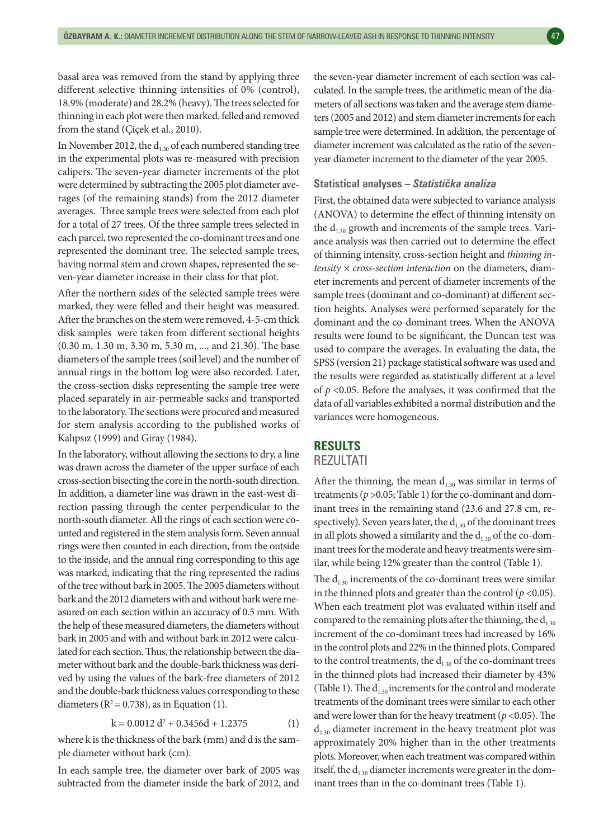basal area was removed from the stand by applying three different selective thinning intensities of 0% (control), 18.9% (moderate) and 28.2% (heavy). The trees selected for thinning in each plot were then marked, felled and removed from the stand (Çiçek et al., 2010).

In November 2012, the  $d_{1,30}$  of each numbered standing tree in the experimental plots was re-measured with precision calipers. The seven-year diameter increments of the plot were determined by subtracting the 2005 plot diameter averages (of the remaining stands) from the 2012 diameter averages. Three sample trees were selected from each plot for a total of 27 trees. Of the three sample trees selected in each parcel, two represented the co-dominant trees and one represented the dominant tree. The selected sample trees, having normal stem and crown shapes, represented the seven-year diameter increase in their class for that plot.

After the northern sides of the selected sample trees were marked, they were felled and their height was measured. After the branches on the stem were removed, 4-5-cm thick disk samples were taken from different sectional heights (0.30 m, 1.30 m, 3.30 m, 5.30 m, ..., and 21.30). The base diameters of the sample trees (soil level) and the number of annual rings in the bottom log were also recorded. Later, the cross-section disks representing the sample tree were placed separately in air-permeable sacks and transported to the laboratory. The sections were procured and measured for stem analysis according to the published works of Kalıpsız (1999) and Giray (1984).

In the laboratory, without allowing the sections to dry, a line was drawn across the diameter of the upper surface of each cross-section bisecting the core in the north-south direction. In addition, a diameter line was drawn in the east-west direction passing through the center perpendicular to the north-south diameter. All the rings of each section were counted and registered in the stem analysis form. Seven annual rings were then counted in each direction, from the outside to the inside, and the annual ring corresponding to this age was marked, indicating that the ring represented the radius of the tree without bark in 2005. The 2005 diameters without bark and the 2012 diameters with and without bark were measured on each section within an accuracy of 0.5 mm. With the help of these measured diameters, the diameters without bark in 2005 and with and without bark in 2012 were calculated for each section. Thus, the relationship between the diameter without bark and the double-bark thickness was derived by using the values of the bark-free diameters of 2012 and the double-bark thickness values corresponding to these diameters ( $R^2 = 0.738$ ), as in Equation (1).

$$
k = 0.0012 d2 + 0.3456d + 1.2375
$$
 (1)

where k is the thickness of the bark (mm) and d is the sample diameter without bark (cm).

In each sample tree, the diameter over bark of 2005 was subtracted from the diameter inside the bark of 2012, and the seven-year diameter increment of each section was calculated. In the sample trees, the arithmetic mean of the diameters of all sections was taken and the average stem diameters (2005 and 2012) and stem diameter increments for each sample tree were determined. In addition, the percentage of diameter increment was calculated as the ratio of the sevenyear diameter increment to the diameter of the year 2005.

#### **Statistical analyses –** *Statistička analiza*

First, the obtained data were subjected to variance analysis (ANOVA) to determine the effect of thinning intensity on the  $d_{1,30}$  growth and increments of the sample trees. Variance analysis was then carried out to determine the effect of thinning intensity, cross-section height and *thinning intensity* × *cross-section interaction* on the diameters, diameter increments and percent of diameter increments of the sample trees (dominant and co-dominant) at different section heights. Analyses were performed separately for the dominant and the co-dominant trees. When the ANOVA results were found to be significant, the Duncan test was used to compare the averages. In evaluating the data, the SPSS (version 21) package statistical software was used and the results were regarded as statistically different at a level of *p* <0.05. Before the analyses, it was confirmed that the data of all variables exhibited a normal distribution and the variances were homogeneous.

#### **RESULTS**

#### REZULTATI

After the thinning, the mean  $d_{1,30}$  was similar in terms of treatments ( $p > 0.05$ ; Table 1) for the co-dominant and dominant trees in the remaining stand (23.6 and 27.8 cm, respectively). Seven years later, the  $d_{1,30}$  of the dominant trees in all plots showed a similarity and the  $d_{1,30}$  of the co-dominant trees for the moderate and heavy treatments were similar, while being 12% greater than the control (Table 1).

The  $d_{1.30}$  increments of the co-dominant trees were similar in the thinned plots and greater than the control ( $p < 0.05$ ). When each treatment plot was evaluated within itself and compared to the remaining plots after the thinning, the  $d_{1,30}$ increment of the co-dominant trees had increased by 16% in the control plots and 22% in the thinned plots. Compared to the control treatments, the  $d_{1,30}$  of the co-dominant trees in the thinned plots had increased their diameter by 43% (Table 1). The  $d_{1,30}$  increments for the control and moderate treatments of the dominant trees were similar to each other and were lower than for the heavy treatment ( $p$  < 0.05). The  $d_{1,30}$  diameter increment in the heavy treatment plot was approximately 20% higher than in the other treatments plots. Moreover, when each treatment was compared within itself, the  $d_{1,30}$  diameter increments were greater in the dominant trees than in the co-dominant trees (Table 1).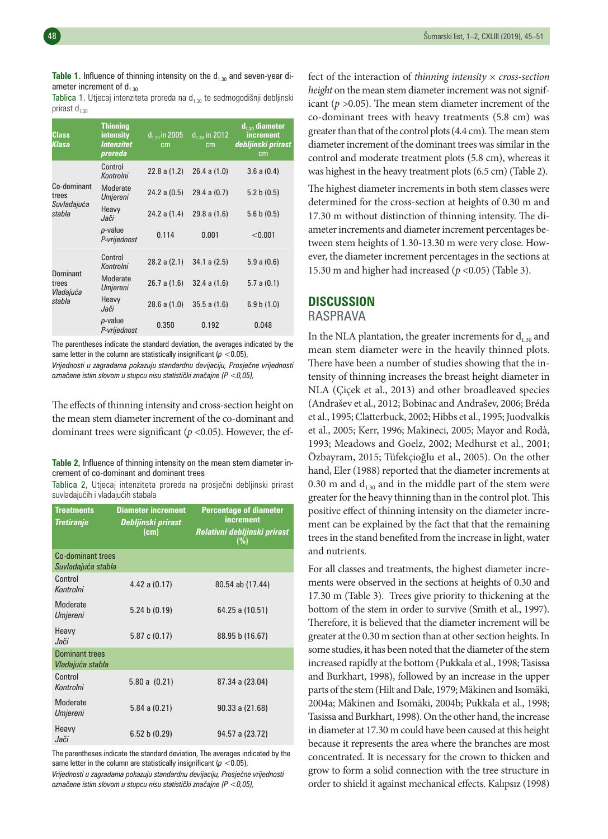**Table 1.** Influence of thinning intensity on the d<sub>1.30</sub> and seven-year diameter increment of  $d_{1,30}$ 

Tablica 1. Utjecaj intenziteta proreda na  $d_{1,30}$  te sedmogodišnji debljinski prirast  $d_{1.30}$ 

| Class<br>Klasa                                | <b>Thinning</b><br>intensity<br><b>Intenzitet</b><br>proreda | $d_{1,30}$ in 2005<br>cm | $d_{1,30}$ in 2012<br>cm | $d_{1,30}$ diameter<br>increment<br>debljinski prirast<br>cm |
|-----------------------------------------------|--------------------------------------------------------------|--------------------------|--------------------------|--------------------------------------------------------------|
| Co-dominant<br>trees<br>Suvladajuća<br>stabla | Control<br>Kontrolni                                         | 22.8 a (1.2)             | 26.4 a(1.0)              | 3.6 a (0.4)                                                  |
|                                               | Moderate<br>Umjereni                                         | 24.2 a (0.5)             | 29.4 a (0.7)             | 5.2 b(0.5)                                                   |
|                                               | Heavy<br>Jači                                                | 24.2 a (1.4)             | 29.8 a(1.6)              | 5.6 b(0.5)                                                   |
|                                               | $p$ -value<br>P-vrijednost                                   | 0.114                    | 0.001                    | < 0.001                                                      |
| Dominant<br>trees<br>Vladajuća<br>stabla      | Control<br>Kontrolni                                         | 28.2 a (2.1)             | 34.1 a (2.5)             | 5.9a(0.6)                                                    |
|                                               | Moderate<br>Umjereni                                         | 26.7 a(1.6)              | 32.4 a(1.6)              | 5.7 a (0.1)                                                  |
|                                               | Heavy<br>Jači                                                | 28.6 a(1.0)              | 35.5 a(1.6)              | 6.9 b(1.0)                                                   |
|                                               | p-value<br>P-vrijednost                                      | 0.350                    | 0.192                    | 0.048                                                        |

The parentheses indicate the standard deviation, the averages indicated by the same letter in the column are statistically insignificant (*p* <0.05),

*Vrijednosti u zagradama pokazuju standardnu devijaciju, Prosječne vrijednosti označene istim slovom u stupcu nisu statistički značajne (P <0,05),*

The effects of thinning intensity and cross-section height on the mean stem diameter increment of the co-dominant and dominant trees were significant (*p* <0.05). However, the ef-

**Table 2,** Influence of thinning intensity on the mean stem diameter increment of co-dominant and dominant trees

Tablica 2, Utjecaj intenziteta proreda na prosječni debljinski prirast suvladajućih i vladajućih stabala

| <b>Treatments</b><br><b>Tretiranje</b>  | <b>Diameter increment</b><br>Debljinski prirast<br>(cm) | <b>Percentage of diameter</b><br>increment<br>Relativni debljinski prirast<br>(%) |
|-----------------------------------------|---------------------------------------------------------|-----------------------------------------------------------------------------------|
| Co-dominant trees<br>Suvladajuća stabla |                                                         |                                                                                   |
| Control<br>Kontrolni                    | 4.42 a (0.17)                                           | 80.54 ab (17.44)                                                                  |
| Moderate<br>Umjereni                    | 5.24 b (0.19)                                           | 64.25 a (10.51)                                                                   |
| Heavy<br>Jači                           | 5.87c(0.17)                                             | 88.95 b (16.67)                                                                   |
| Dominant trees<br>Vladajuća stabla      |                                                         |                                                                                   |
| Control<br>Kontrolni                    | 5.80 a (0.21)                                           | 87.34 a (23.04)                                                                   |
| Moderate<br>Umjereni                    | $5.84$ a $(0.21)$                                       | 90.33 a (21.68)                                                                   |
| Heavy<br>Jači                           | 6.52 b (0.29)                                           | 94.57 a (23.72)                                                                   |

The parentheses indicate the standard deviation, The averages indicated by the same letter in the column are statistically insignificant  $(p < 0.05)$ , *Vrijednosti u zagradama pokazuju standardnu devijaciju, Prosječne vrijednosti označene istim slovom u stupcu nisu statistički značajne (P <0,05),*

fect of the interaction of *thinning intensity* × *cross-section height* on the mean stem diameter increment was not significant (*p* >0.05). The mean stem diameter increment of the co-dominant trees with heavy treatments (5.8 cm) was greater than that of the control plots (4.4 cm). The mean stem diameter increment of the dominant trees was similar in the control and moderate treatment plots (5.8 cm), whereas it was highest in the heavy treatment plots (6.5 cm) (Table 2).

The highest diameter increments in both stem classes were determined for the cross-section at heights of 0.30 m and 17.30 m without distinction of thinning intensity. The diameter increments and diameter increment percentages between stem heights of 1.30-13.30 m were very close. However, the diameter increment percentages in the sections at 15.30 m and higher had increased (*p* <0.05) (Table 3).

## **DISCUSSION**

#### RASPRAVA

In the NLA plantation, the greater increments for  $d_{1,30}$  and mean stem diameter were in the heavily thinned plots. There have been a number of studies showing that the intensity of thinning increases the breast height diameter in NLA (Çiçek et al., 2013) and other broadleaved species (Andrašev et al., 2012; Bobinac and Andrašev, 2006; Bréda et al., 1995; Clatterbuck, 2002; Hibbs et al., 1995; Juodvalkis et al., 2005; Kerr, 1996; Makineci, 2005; Mayor and Rodà, 1993; Meadows and Goelz, 2002; Medhurst et al., 2001; Özbayram, 2015; Tüfekçioğlu et al., 2005). On the other hand, Eler (1988) reported that the diameter increments at 0.30 m and  $d_{1,30}$  and in the middle part of the stem were greater for the heavy thinning than in the control plot. This positive effect of thinning intensity on the diameter increment can be explained by the fact that that the remaining trees in the stand benefited from the increase in light, water and nutrients.

For all classes and treatments, the highest diameter increments were observed in the sections at heights of 0.30 and 17.30 m (Table 3). Trees give priority to thickening at the bottom of the stem in order to survive (Smith et al., 1997). Therefore, it is believed that the diameter increment will be greater at the 0.30 m section than at other section heights. In some studies, it has been noted that the diameter of the stem increased rapidly at the bottom (Pukkala et al., 1998; Tasissa and Burkhart, 1998), followed by an increase in the upper parts of the stem (Hilt and Dale, 1979; Mäkinen and Isomäki, 2004a; Mäkinen and Isomäki, 2004b; Pukkala et al., 1998; Tasissa and Burkhart, 1998). On the other hand, the increase in diameter at 17.30 m could have been caused at this height because it represents the area where the branches are most concentrated. It is necessary for the crown to thicken and grow to form a solid connection with the tree structure in order to shield it against mechanical effects. Kalıpsız (1998)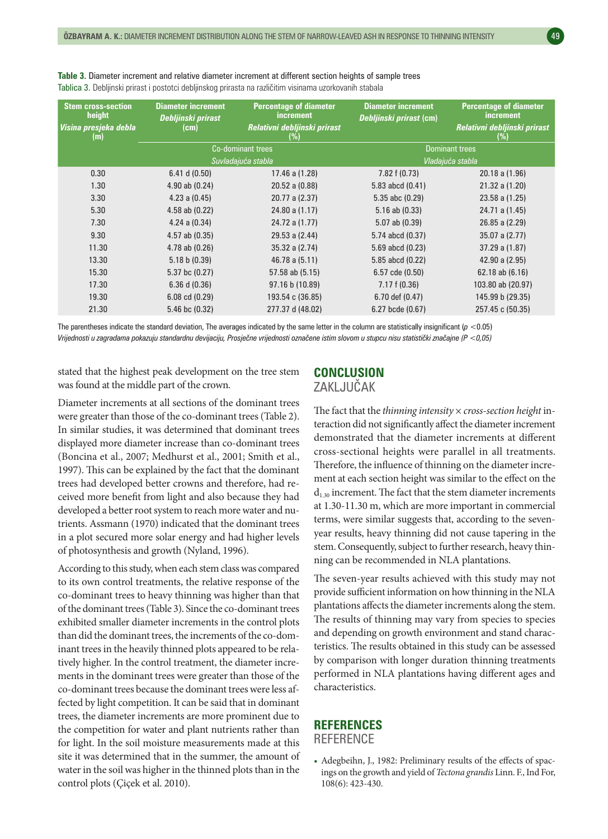| <b>Stem cross-section</b><br>height | <b>Diameter increment</b><br>Debljinski prirast | <b>Percentage of diameter</b><br>increment | <b>Diameter increment</b><br>Debljinski prirast (cm) | <b>Percentage of diameter</b><br><i>increment</i> |
|-------------------------------------|-------------------------------------------------|--------------------------------------------|------------------------------------------------------|---------------------------------------------------|
| Visina presjeka debla<br>(m)        | (cm)                                            | Relativni debljinski prirast<br>(%)        |                                                      | Relativni debljinski prirast<br>(%)               |
|                                     | Co-dominant trees                               |                                            | <b>Dominant trees</b>                                |                                                   |
|                                     | Suvladajuća stabla                              |                                            | Vladajuća stabla                                     |                                                   |
| 0.30                                | 6.41 d(0.50)                                    | 17.46 a (1.28)                             | 7.82 f (0.73)                                        | 20.18 a(1.96)                                     |
| 1.30                                | $4.90$ ab $(0.24)$                              | 20.52 a (0.88)                             | 5.83 abcd (0.41)                                     | 21.32 a (1.20)                                    |
| 3.30                                | $4.23$ a $(0.45)$                               | 20.77 a (2.37)                             | $5.35$ abc $(0.29)$                                  | $23.58$ a $(1.25)$                                |
| 5.30                                | $4.58$ ab $(0.22)$                              | 24.80 a (1.17)                             | $5.16$ ab $(0.33)$                                   | 24.71 a (1.45)                                    |
| 7.30                                | $4.24$ a $(0.34)$                               | 24.72 a (1.77)                             | $5.07$ ab $(0.39)$                                   | $26.85$ a $(2.29)$                                |
| 9.30                                | $4.57$ ab $(0.35)$                              | 29.53 a (2.44)                             | 5.74 abcd (0.37)                                     | 35.07 a (2.77)                                    |
| 11.30                               | $4.78$ ab $(0.26)$                              | 35.32 a (2.74)                             | 5.69 abcd (0.23)                                     | 37.29 a (1.87)                                    |
| 13.30                               | 5.18 b (0.39)                                   | 46.78 a (5.11)                             | 5.85 abcd (0.22)                                     | 42.90 a (2.95)                                    |
| 15.30                               | 5.37 bc (0.27)                                  | 57.58 ab (5.15)                            | $6.57$ cde $(0.50)$                                  | 62.18 ab (6.16)                                   |
| 17.30                               | 6.36 d(0.36)                                    | 97.16 b (10.89)                            | 7.17 f(0.36)                                         | 103.80 ab (20.97)                                 |
| 19.30                               | $6.08 \text{ cd } (0.29)$                       | 193.54 c (36.85)                           | 6.70 def (0.47)                                      | 145.99 b (29.35)                                  |
| 21,30                               | 5.46 bc (0.32)                                  | 277.37 d (48.02)                           | 6.27 bcde (0.67)                                     | 257.45 c (50.35)                                  |

**Table 3.** Diameter increment and relative diameter increment at different section heights of sample trees Tablica 3. Debljinski prirast i postotci debljinskog prirasta na različitim visinama uzorkovanih stabala

The parentheses indicate the standard deviation, The averages indicated by the same letter in the column are statistically insignificant  $(p < 0.05)$ *Vrijednosti u zagradama pokazuju standardnu devijaciju, Prosječne vrijednosti označene istim slovom u stupcu nisu statistički značajne (P <0,05)*

stated that the highest peak development on the tree stem was found at the middle part of the crown.

Diameter increments at all sections of the dominant trees were greater than those of the co-dominant trees (Table 2). In similar studies, it was determined that dominant trees displayed more diameter increase than co-dominant trees (Boncina et al., 2007; Medhurst et al., 2001; Smith et al., 1997). This can be explained by the fact that the dominant trees had developed better crowns and therefore, had received more benefit from light and also because they had developed a better root system to reach more water and nutrients. Assmann (1970) indicated that the dominant trees in a plot secured more solar energy and had higher levels of photosynthesis and growth (Nyland, 1996).

According to this study, when each stem class was compared to its own control treatments, the relative response of the co-dominant trees to heavy thinning was higher than that of the dominant trees (Table 3). Since the co-dominant trees exhibited smaller diameter increments in the control plots than did the dominant trees, the increments of the co-dominant trees in the heavily thinned plots appeared to be relatively higher. In the control treatment, the diameter increments in the dominant trees were greater than those of the co-dominant trees because the dominant trees were less affected by light competition. It can be said that in dominant trees, the diameter increments are more prominent due to the competition for water and plant nutrients rather than for light. In the soil moisture measurements made at this site it was determined that in the summer, the amount of water in the soil was higher in the thinned plots than in the control plots (Çiçek et al. 2010).

## **CONCLUSION** ZAKLJUČAK

The fact that the *thinning intensity* × *cross-section height* interaction did not significantly affect the diameter increment demonstrated that the diameter increments at different cross-sectional heights were parallel in all treatments. Therefore, the influence of thinning on the diameter increment at each section height was similar to the effect on the  $d_{1,30}$  increment. The fact that the stem diameter increments at 1.30-11.30 m, which are more important in commercial terms, were similar suggests that, according to the sevenyear results, heavy thinning did not cause tapering in the stem. Consequently, subject to further research, heavy thinning can be recommended in NLA plantations.

The seven-year results achieved with this study may not provide sufficient information on how thinning in the NLA plantations affects the diameter increments along the stem. The results of thinning may vary from species to species and depending on growth environment and stand characteristics. The results obtained in this study can be assessed by comparison with longer duration thinning treatments performed in NLA plantations having different ages and characteristics.

## **REFERENCES REFERENCE**

• Adegbeihn, J., 1982: Preliminary results of the effects of spacings on the growth and yield of *Tectona grandis* Linn. F., Ind For, 108(6): 423-430.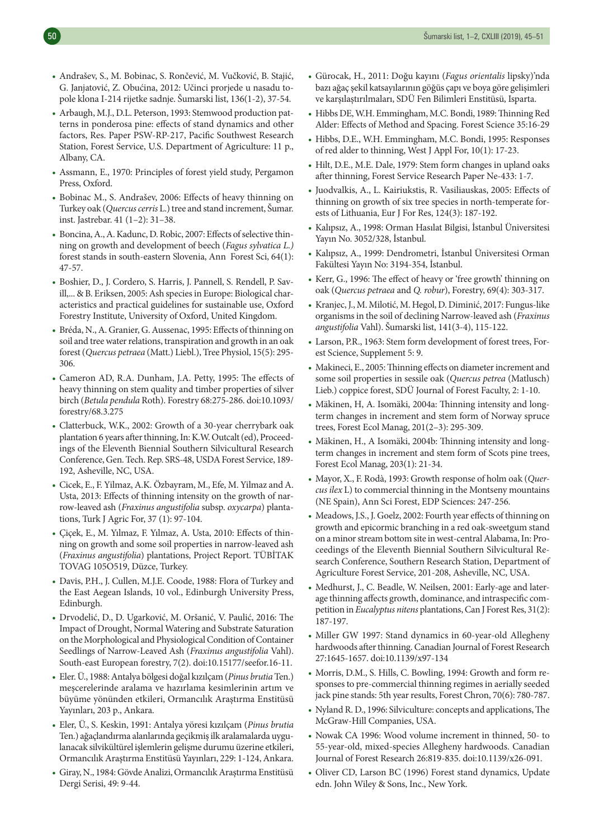- Andrašev, S., M. Bobinac, S. Rončević, M. Vučković, B. Stajić, G. Janjatović, Z. Obućina, 2012: Učinci prorjede u nasadu topole klona I-214 rijetke sadnje. Šumarski list, 136(1-2), 37-54.
- Arbaugh, M.J., D.L. Peterson, 1993: Stemwood production patterns in ponderosa pine: effects of stand dynamics and other factors, Res. Paper PSW-RP-217, Pacific Southwest Research Station, Forest Service, U.S. Department of Agriculture: 11 p., Albany, CA.
- Assmann, E., 1970: Principles of forest yield study, Pergamon Press, Oxford.
- Bobinac M., S. Andrašev, 2006: Effects of heavy thinning on Turkey oak (*Quercus cerris* L.) tree and stand increment, Šumar. inst. Jastrebar. 41 (1–2): 31–38.
- Boncina, A., A. Kadunc, D. Robic, 2007: Effects of selective thinning on growth and development of beech (*Fagus sylvatica L.)* forest stands in south-eastern Slovenia, Ann Forest Sci, 64(1): 47-57.
- Boshier, D., J. Cordero, S. Harris, J. Pannell, S. Rendell, P. Savill,... & B. Eriksen, 2005: Ash species in Europe: Biological characteristics and practical guidelines for sustainable use, Oxford Forestry Institute, University of Oxford, United Kingdom.
- Bréda, N., A. Granier, G. Aussenac, 1995: Effects of thinning on soil and tree water relations, transpiration and growth in an oak forest (*Quercus petraea* (Matt.) Liebl.), Tree Physiol, 15(5): 295- 306.
- Cameron AD, R.A. Dunham, J.A. Petty, 1995: The effects of heavy thinning on stem quality and timber properties of silver birch (*Betula pendula* Roth). Forestry 68:275-286. doi:10.1093/ forestry/68.3.275
- Clatterbuck, W.K., 2002: Growth of a 30-year cherrybark oak plantation 6 years after thinning, In: K.W. Outcalt (ed), Proceedings of the Eleventh Biennial Southern Silvicultural Research Conference, Gen. Tech. Rep. SRS-48, USDA Forest Service, 189- 192, Asheville, NC, USA.
- Cicek, E., F. Yilmaz, A.K. Özbayram, M., Efe, M. Yilmaz and A. Usta, 2013: Effects of thinning intensity on the growth of narrow-leaved ash (*Fraxinus angustifolia* subsp. *oxycarpa*) plantations, Turk J Agric For, 37 (1): 97-104.
- Çiçek, E., M. Yılmaz, F. Yılmaz, A. Usta, 2010: Effects of thinning on growth and some soil properties in narrow-leaved ash (*Fraxinus angustifolia*) plantations, Project Report. TÜBİTAK TOVAG 105O519, Düzce, Turkey.
- Davis, P.H., J. Cullen, M.J.E. Coode, 1988: Flora of Turkey and the East Aegean Islands, 10 vol., Edinburgh University Press, Edinburgh.
- Drvodelić, D., D. Ugarković, M. Oršanić, V. Paulić, 2016: The Impact of Drought, Normal Watering and Substrate Saturation on the Morphological and Physiological Condition of Container Seedlings of Narrow-Leaved Ash (*Fraxinus angustifolia* Vahl). South-east European forestry, 7(2). doi:10.15177/seefor.16-11.
- Eler. Ü., 1988: Antalya bölgesi doğal kızılçam (*Pinus brutia* Ten.) meşcerelerinde aralama ve hazırlama kesimlerinin artım ve büyüme yönünden etkileri, Ormancılık Araştırma Enstitüsü Yayınları, 203 p., Ankara.
- Eler, Ü., S. Keskin, 1991: Antalya yöresi kızılçam (*Pinus brutia* Ten.) ağaçlandırma alanlarında geçikmiş ilk aralamalarda uygulanacak silvikültürel işlemlerin gelişme durumu üzerine etkileri, Ormancılık Araştırma Enstitüsü Yayınları, 229: 1-124, Ankara.
- Giray, N., 1984: Gövde Analizi, Ormancılık Araştırma Enstitüsü Dergi Serisi, 49: 9-44.
- Gürocak, H., 2011: Doğu kayını (*Fagus orientalis* lipsky)'nda bazı ağaç şekil katsayılarının göğüs çapı ve boya göre gelişimleri ve karşılaştırılmaları, SDÜ Fen Bilimleri Enstitüsü, Isparta.
- Hibbs DE, W.H. Emmingham, M.C. Bondi, 1989: Thinning Red Alder: Effects of Method and Spacing. Forest Science 35:16-29
- Hibbs, D.E., W.H. Emmingham, M.C. Bondi, 1995: Responses of red alder to thinning, West J Appl For, 10(1): 17-23.
- Hilt, D.E., M.E. Dale, 1979: Stem form changes in upland oaks after thinning, Forest Service Research Paper Ne-433: 1-7.
- Juodvalkis, A., L. Kairiukstis, R. Vasiliauskas, 2005: Effects of thinning on growth of six tree species in north-temperate forests of Lithuania, Eur J For Res, 124(3): 187-192.
- Kalıpsız, A., 1998: Orman Hasılat Bilgisi, İstanbul Üniversitesi Yayın No. 3052/328, İstanbul.
- Kalıpsız, A., 1999: Dendrometri, İstanbul Üniversitesi Orman Fakültesi Yayın No: 3194-354, İstanbul.
- Kerr, G., 1996: The effect of heavy or 'free growth' thinning on oak (*Quercus petraea* and *Q. robur*), Forestry, 69(4): 303-317.
- Kranjec, J., M. Milotić, M. Hegol, D. Diminić, 2017: Fungus-like organisms in the soil of declining Narrow-leaved ash (*Fraxinus angustifolia* Vahl). Šumarski list, 141(3-4), 115-122.
- Larson, P.R., 1963: Stem form development of forest trees, Forest Science, Supplement 5: 9.
- Makineci, E., 2005: Thinning effects on diameter increment and some soil properties in sessile oak (*Quercus petrea* (Matlusch) Lieb.) coppice forest, SDÜ Journal of Forest Faculty, 2: 1-10.
- Mäkinen, H, A. Isomäki, 2004a: Thinning intensity and longterm changes in increment and stem form of Norway spruce trees, Forest Ecol Manag, 201(2–3): 295-309.
- Mäkinen, H., A Isomäki, 2004b: Thinning intensity and longterm changes in increment and stem form of Scots pine trees, Forest Ecol Manag, 203(1): 21-34.
- Mayor, X., F. Rodà, 1993: Growth response of holm oak (*Quercus ilex* L) to commercial thinning in the Montseny mountains (NE Spain), Ann Sci Forest, EDP Sciences: 247-256.
- Meadows, J.S., J. Goelz, 2002: Fourth year effects of thinning on growth and epicormic branching in a red oak-sweetgum stand on a minor stream bottom site in west-central Alabama, In: Proceedings of the Eleventh Biennial Southern Silvicultural Research Conference, Southern Research Station, Department of Agriculture Forest Service, 201-208, Asheville, NC, USA.
- Medhurst, J., C. Beadle, W. Neilsen, 2001: Early-age and laterage thinning affects growth, dominance, and intraspecific competition in *Eucalyptus nitens* plantations, Can J Forest Res, 31(2): 187-197.
- Miller GW 1997: Stand dynamics in 60-year-old Allegheny hardwoods after thinning. Canadian Journal of Forest Research 27:1645-1657. doi:10.1139/x97-134
- Morris, D.M., S. Hills, C. Bowling, 1994: Growth and form responses to pre-commercial thinning regimes in aerially seeded jack pine stands: 5th year results, Forest Chron, 70(6): 780-787.
- Nyland R. D., 1996: Silviculture: concepts and applications, The McGraw-Hill Companies, USA.
- Nowak CA 1996: Wood volume increment in thinned, 50- to 55-year-old, mixed-species Allegheny hardwoods. Canadian Journal of Forest Research 26:819-835. doi:10.1139/x26-091.
- Oliver CD, Larson BC (1996) Forest stand dynamics, Update edn. John Wiley & Sons, Inc., New York.